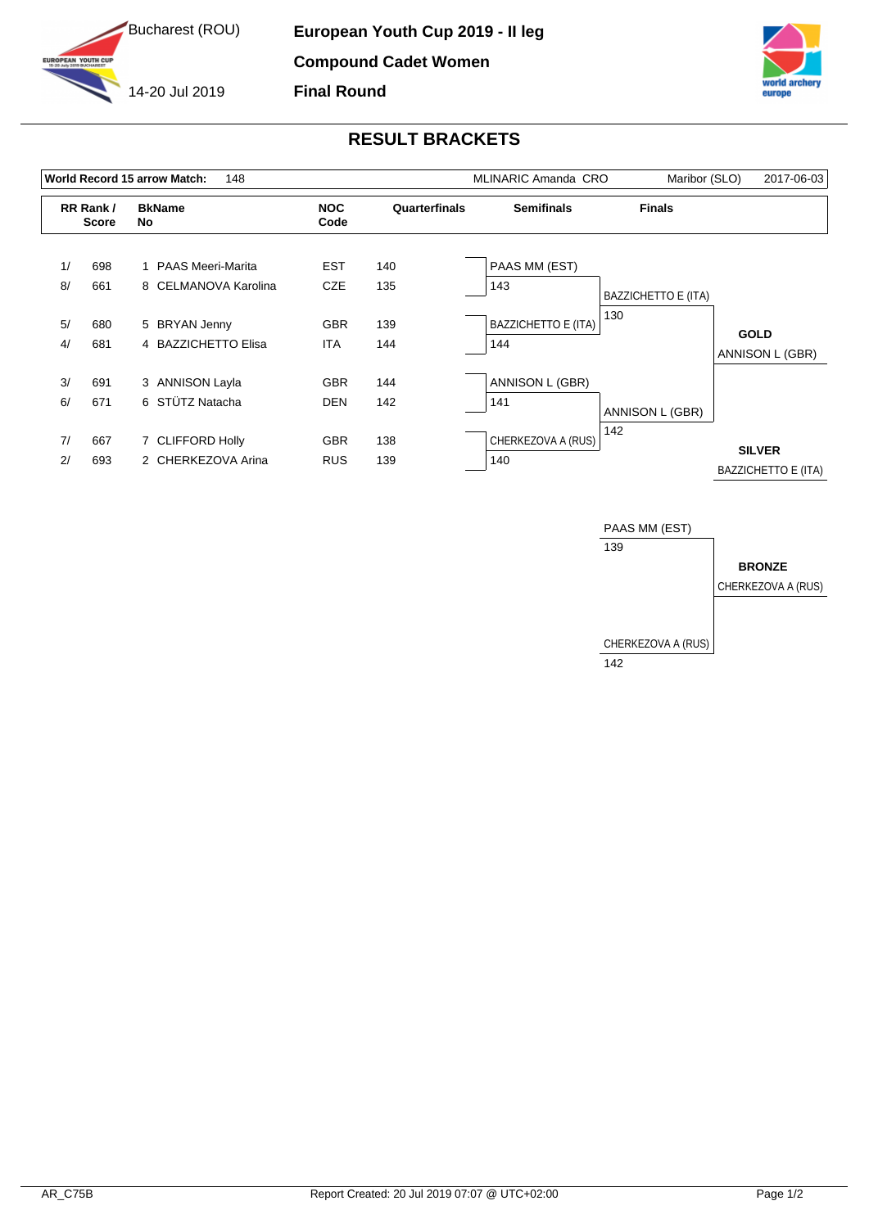



## **RESULT BRACKETS**

| <b>Finals</b><br><b>BkName</b><br><b>NOC</b><br><b>Semifinals</b><br>RR Rank /<br>Quarterfinals<br>Code<br><b>Score</b><br>No                                                      |                                      |
|------------------------------------------------------------------------------------------------------------------------------------------------------------------------------------|--------------------------------------|
|                                                                                                                                                                                    |                                      |
| 1/<br><b>EST</b><br>PAAS MM (EST)<br>698<br>1 PAAS Meeri-Marita<br>140<br>8/<br>661<br><b>CZE</b><br>135<br>8 CELMANOVA Karolina<br>143                                            |                                      |
| <b>BAZZICHETTO E (ITA)</b><br>130<br><b>BAZZICHETTO E (ITA)</b><br>5/<br><b>GBR</b><br>139<br>680<br>5 BRYAN Jenny<br>4/<br>681<br>4 BAZZICHETTO Elisa<br><b>ITA</b><br>144<br>144 | <b>GOLD</b>                          |
| 3/<br>ANNISON L (GBR)<br>691<br>3 ANNISON Layla<br><b>GBR</b><br>144<br>6 STÜTZ Natacha<br>6/<br>671<br>142<br><b>DEN</b><br>141                                                   | ANNISON L (GBR)                      |
| ANNISON L (GBR)<br>142<br>CHERKEZOVA A (RUS)<br>7/<br>138<br>667<br>7 CLIFFORD Holly<br><b>GBR</b><br>2/<br>2 CHERKEZOVA Arina<br>139<br>140<br>693<br><b>RUS</b>                  | <b>SILVER</b><br>BAZZICHETTO E (ITA) |